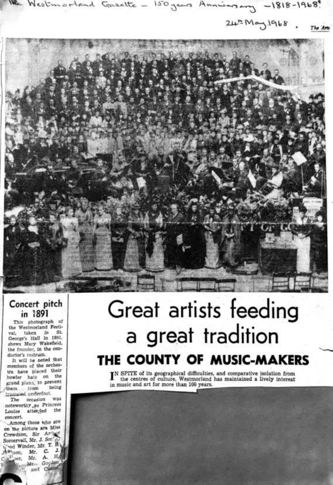$\frac{112}{112}$  Westmortand Gazette - 150 years Anning any -1818-1968.

 $24.5$  May 1968. *Tlut Aris* 



## **Concert pitch in 1891**

This photograph of the Westmorland Festi-<br>val. taken in St. val, taken in St. George's Hall in 1891, shows Mary Wakefield, the founder, in the conductor's rostrum.

It will be noted that members of the orchestra have placed their bowler hats on the grand plano, to prevent them from

trampied underfoot.<br>The conssion was The occasion noteworthy as Princess<br>Louise attended the Louise attended concert.

-Among those who are on the picture are Miss Crewdson, Sir Arthur<br>Somervell, Mr. J. Sm's Somervell, Mr. J. Sm  $y_i$  $^{17}$  and Winder, Mr. T. B. rt, etc., Mr. C. J.  $\begin{array}{l} \mathbb{J}^{\mathsf{RS}^{\mathsf{R}};\mathsf{S}\mathsf{O}\mathsf{f}\mathsf{I}_{\mathsf{f}}},\\ \mathbb{C} \xrightarrow{\mathcal{K}^{\mathsf{L}}}\mathbb{I}^{\mathsf{C}\mathsf{f}}, \end{array}$  $F_{\text{per}}$  Mr. **A.**  $H_{\text{eff}}$ • Mr. and Canon

> • **,I** • ' . l ,

## **Great artists feeding a gre\_at tradition THE COUNTY OF MUSIC-MAKERS**

 $I<sup>N</sup>$  SPITE of its geographical difficulties, and comparative isolation from the centres of culture, Westmorland has maintained a lively interest the centres of culture, Westmorland has maintained a lively interest in music and art for more than 100 years.